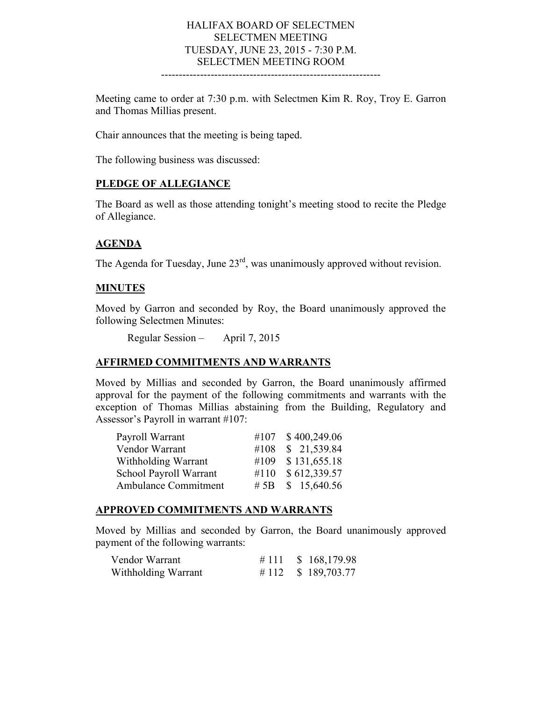#### HALIFAX BOARD OF SELECTMEN SELECTMEN MEETING TUESDAY, JUNE 23, 2015 - 7:30 P.M. SELECTMEN MEETING ROOM --------------------------------------------------------------

Meeting came to order at 7:30 p.m. with Selectmen Kim R. Roy, Troy E. Garron and Thomas Millias present.

Chair announces that the meeting is being taped.

The following business was discussed:

#### **PLEDGE OF ALLEGIANCE**

The Board as well as those attending tonight's meeting stood to recite the Pledge of Allegiance.

#### **AGENDA**

The Agenda for Tuesday, June  $23<sup>rd</sup>$ , was unanimously approved without revision.

#### **MINUTES**

Moved by Garron and seconded by Roy, the Board unanimously approved the following Selectmen Minutes:

Regular Session – April 7, 2015

#### **AFFIRMED COMMITMENTS AND WARRANTS**

Moved by Millias and seconded by Garron, the Board unanimously affirmed approval for the payment of the following commitments and warrants with the exception of Thomas Millias abstaining from the Building, Regulatory and Assessor's Payroll in warrant #107:

| Payroll Warrant             |      | #107 \$400,249.06 |
|-----------------------------|------|-------------------|
| Vendor Warrant              | #108 | \$21,539.84       |
| Withholding Warrant         | #109 | \$131,655.18      |
| School Payroll Warrant      |      | #110 \$612,339.57 |
| <b>Ambulance Commitment</b> |      | # 5B $$15,640.56$ |

#### **APPROVED COMMITMENTS AND WARRANTS**

Moved by Millias and seconded by Garron, the Board unanimously approved payment of the following warrants:

| Vendor Warrant      |  | # 111 $$168,179.98$ |
|---------------------|--|---------------------|
| Withholding Warrant |  | # 112 $$189,703.77$ |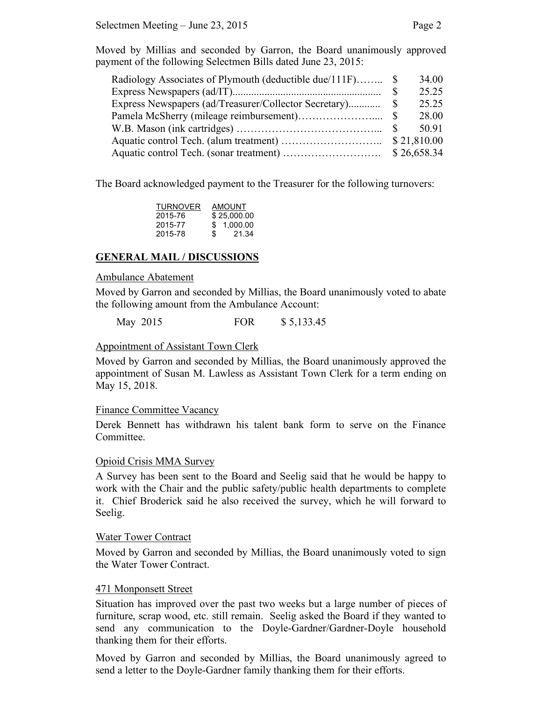Moved by Millias and seconded by Garron, the Board unanimously approved payment of the following Selectmen Bills dated June 23, 2015:

| Radiology Associates of Plymouth (deductible due/111F) \$ |      | 34.00       |
|-----------------------------------------------------------|------|-------------|
|                                                           | - \$ | 25.25       |
| Express Newspapers (ad/Treasurer/Collector Secretary)     | - 8  | 25.25       |
|                                                           |      | 28.00       |
|                                                           |      | 50.91       |
|                                                           |      | \$21,810.00 |
|                                                           |      | \$26,658.34 |

The Board acknowledged payment to the Treasurer for the following turnovers:

| TURNOVER | <b>AMOUNT</b> |
|----------|---------------|
| 2015-76  | \$25,000.00   |
| 2015-77  | \$1.000.00    |
| 2015-78  | \$.<br>21.34  |
|          |               |

## **GENERAL MAIL / DISCUSSIONS**

#### Ambulance Abatement

Moved by Garron and seconded by Millias, the Board unanimously voted to abate the following amount from the Ambulance Account:

May 2015 FOR \$ 5,133.45

#### Appointment of Assistant Town Clerk

Moved by Garron and seconded by Millias, the Board unanimously approved the appointment of Susan M. Lawless as Assistant Town Clerk for a term ending on May 15, 2018.

#### Finance Committee Vacancy

Derek Bennett has withdrawn his talent bank form to serve on the Finance Committee.

#### Opioid Crisis MMA Survey

A Survey has been sent to the Board and Seelig said that he would be happy to work with the Chair and the public safety/public health departments to complete it. Chief Broderick said he also received the survey, which he will forward to Seelig.

#### Water Tower Contract

Moved by Garron and seconded by Millias, the Board unanimously voted to sign the Water Tower Contract.

#### 471 Monponsett Street

Situation has improved over the past two weeks but a large number of pieces of furniture, scrap wood, etc. still remain. Seelig asked the Board if they wanted to send any communication to the Doyle-Gardner/Gardner-Doyle household thanking them for their efforts.

Moved by Garron and seconded by Millias, the Board unanimously agreed to send a letter to the Doyle-Gardner family thanking them for their efforts.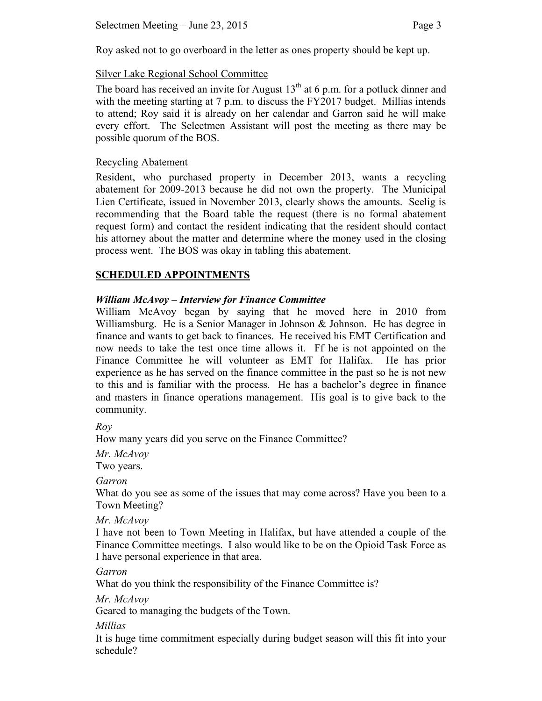Roy asked not to go overboard in the letter as ones property should be kept up.

## Silver Lake Regional School Committee

The board has received an invite for August  $13<sup>th</sup>$  at 6 p.m. for a potluck dinner and with the meeting starting at 7 p.m. to discuss the FY2017 budget. Millias intends to attend; Roy said it is already on her calendar and Garron said he will make every effort. The Selectmen Assistant will post the meeting as there may be possible quorum of the BOS.

## Recycling Abatement

Resident, who purchased property in December 2013, wants a recycling abatement for 2009-2013 because he did not own the property. The Municipal Lien Certificate, issued in November 2013, clearly shows the amounts. Seelig is recommending that the Board table the request (there is no formal abatement request form) and contact the resident indicating that the resident should contact his attorney about the matter and determine where the money used in the closing process went. The BOS was okay in tabling this abatement.

## **SCHEDULED APPOINTMENTS**

## *William McAvoy – Interview for Finance Committee*

William McAvoy began by saying that he moved here in 2010 from Williamsburg. He is a Senior Manager in Johnson & Johnson. He has degree in finance and wants to get back to finances. He received his EMT Certification and now needs to take the test once time allows it. Ff he is not appointed on the Finance Committee he will volunteer as EMT for Halifax. He has prior experience as he has served on the finance committee in the past so he is not new to this and is familiar with the process. He has a bachelor's degree in finance and masters in finance operations management. His goal is to give back to the community.

*Roy*

How many years did you serve on the Finance Committee?

*Mr. McAvoy* Two years.

*Garron*

What do you see as some of the issues that may come across? Have you been to a Town Meeting?

*Mr. McAvoy*

I have not been to Town Meeting in Halifax, but have attended a couple of the Finance Committee meetings. I also would like to be on the Opioid Task Force as I have personal experience in that area.

*Garron*

What do you think the responsibility of the Finance Committee is?

*Mr. McAvoy*

Geared to managing the budgets of the Town.

*Millias*

It is huge time commitment especially during budget season will this fit into your schedule?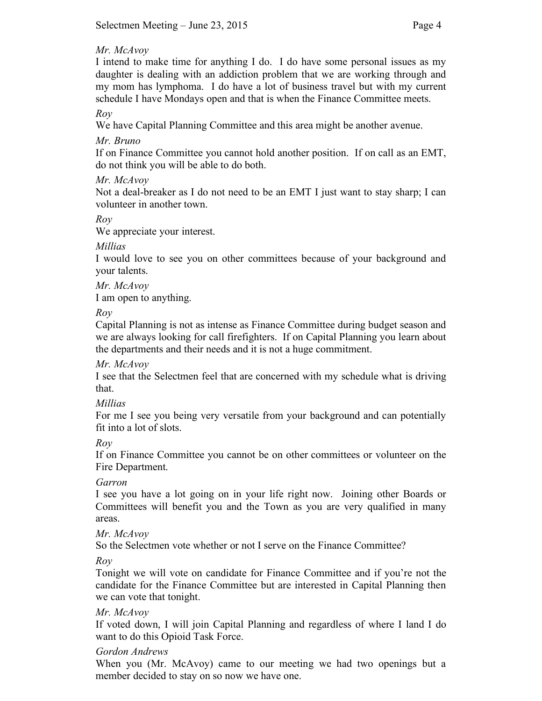## *Mr. McAvoy*

I intend to make time for anything I do. I do have some personal issues as my daughter is dealing with an addiction problem that we are working through and my mom has lymphoma. I do have a lot of business travel but with my current schedule I have Mondays open and that is when the Finance Committee meets.

*Roy*

We have Capital Planning Committee and this area might be another avenue.

*Mr. Bruno*

If on Finance Committee you cannot hold another position. If on call as an EMT, do not think you will be able to do both.

*Mr. McAvoy*

Not a deal-breaker as I do not need to be an EMT I just want to stay sharp; I can volunteer in another town.

*Roy*

We appreciate your interest.

*Millias*

I would love to see you on other committees because of your background and your talents.

*Mr. McAvoy* I am open to anything.

*Roy*

Capital Planning is not as intense as Finance Committee during budget season and we are always looking for call firefighters. If on Capital Planning you learn about the departments and their needs and it is not a huge commitment.

*Mr. McAvoy*

I see that the Selectmen feel that are concerned with my schedule what is driving that.

*Millias*

For me I see you being very versatile from your background and can potentially fit into a lot of slots.

*Roy*

If on Finance Committee you cannot be on other committees or volunteer on the Fire Department.

# *Garron*

I see you have a lot going on in your life right now. Joining other Boards or Committees will benefit you and the Town as you are very qualified in many areas.

*Mr. McAvoy*

So the Selectmen vote whether or not I serve on the Finance Committee?

*Roy*

Tonight we will vote on candidate for Finance Committee and if you're not the candidate for the Finance Committee but are interested in Capital Planning then we can vote that tonight.

# *Mr. McAvoy*

If voted down, I will join Capital Planning and regardless of where I land I do want to do this Opioid Task Force.

# *Gordon Andrews*

When you (Mr. McAvoy) came to our meeting we had two openings but a member decided to stay on so now we have one.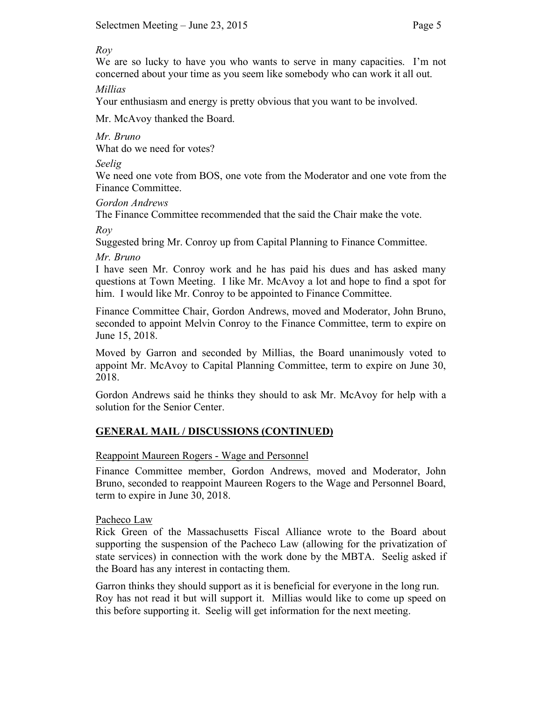*Roy*

We are so lucky to have you who wants to serve in many capacities. I'm not concerned about your time as you seem like somebody who can work it all out.

*Millias*

Your enthusiasm and energy is pretty obvious that you want to be involved.

Mr. McAvoy thanked the Board.

*Mr. Bruno* What do we need for votes?

*Seelig*

We need one vote from BOS, one vote from the Moderator and one vote from the Finance Committee.

*Gordon Andrews*

The Finance Committee recommended that the said the Chair make the vote.

*Roy*

Suggested bring Mr. Conroy up from Capital Planning to Finance Committee.

*Mr. Bruno*

I have seen Mr. Conroy work and he has paid his dues and has asked many questions at Town Meeting. I like Mr. McAvoy a lot and hope to find a spot for him. I would like Mr. Conroy to be appointed to Finance Committee.

Finance Committee Chair, Gordon Andrews, moved and Moderator, John Bruno, seconded to appoint Melvin Conroy to the Finance Committee, term to expire on June 15, 2018.

Moved by Garron and seconded by Millias, the Board unanimously voted to appoint Mr. McAvoy to Capital Planning Committee, term to expire on June 30, 2018.

Gordon Andrews said he thinks they should to ask Mr. McAvoy for help with a solution for the Senior Center.

# **GENERAL MAIL / DISCUSSIONS (CONTINUED)**

## Reappoint Maureen Rogers - Wage and Personnel

Finance Committee member, Gordon Andrews, moved and Moderator, John Bruno, seconded to reappoint Maureen Rogers to the Wage and Personnel Board, term to expire in June 30, 2018.

## Pacheco Law

Rick Green of the Massachusetts Fiscal Alliance wrote to the Board about supporting the suspension of the Pacheco Law (allowing for the privatization of state services) in connection with the work done by the MBTA. Seelig asked if the Board has any interest in contacting them.

Garron thinks they should support as it is beneficial for everyone in the long run. Roy has not read it but will support it. Millias would like to come up speed on this before supporting it. Seelig will get information for the next meeting.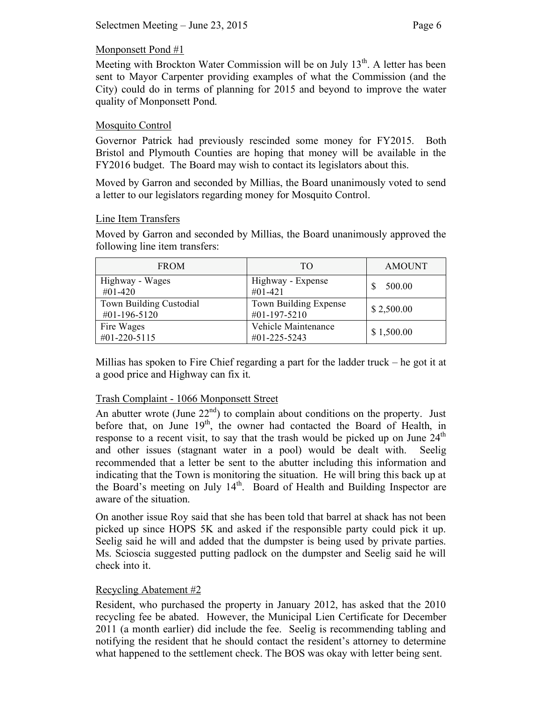## Monponsett Pond #1

Meeting with Brockton Water Commission will be on July 13<sup>th</sup>. A letter has been sent to Mayor Carpenter providing examples of what the Commission (and the City) could do in terms of planning for 2015 and beyond to improve the water quality of Monponsett Pond.

## Mosquito Control

Governor Patrick had previously rescinded some money for FY2015. Both Bristol and Plymouth Counties are hoping that money will be available in the FY2016 budget. The Board may wish to contact its legislators about this.

Moved by Garron and seconded by Millias, the Board unanimously voted to send a letter to our legislators regarding money for Mosquito Control.

## Line Item Transfers

Moved by Garron and seconded by Millias, the Board unanimously approved the following line item transfers:

| <b>FROM</b>                             | TО                                    | <b>AMOUNT</b> |
|-----------------------------------------|---------------------------------------|---------------|
| Highway - Wages<br>#01-420              | Highway - Expense<br>#01-421          | 500.00        |
| Town Building Custodial<br>#01-196-5120 | Town Building Expense<br>#01-197-5210 | \$2,500.00    |
| Fire Wages<br>#01-220-5115              | Vehicle Maintenance<br>#01-225-5243   | \$1,500.00    |

Millias has spoken to Fire Chief regarding a part for the ladder truck – he got it at a good price and Highway can fix it.

## Trash Complaint - 1066 Monponsett Street

An abutter wrote (June  $22<sup>nd</sup>$ ) to complain about conditions on the property. Just before that, on June  $19<sup>th</sup>$ , the owner had contacted the Board of Health, in response to a recent visit, to say that the trash would be picked up on June  $24<sup>th</sup>$ and other issues (stagnant water in a pool) would be dealt with. Seelig recommended that a letter be sent to the abutter including this information and indicating that the Town is monitoring the situation. He will bring this back up at the Board's meeting on July  $14<sup>th</sup>$ . Board of Health and Building Inspector are aware of the situation.

On another issue Roy said that she has been told that barrel at shack has not been picked up since HOPS 5K and asked if the responsible party could pick it up. Seelig said he will and added that the dumpster is being used by private parties. Ms. Scioscia suggested putting padlock on the dumpster and Seelig said he will check into it.

## Recycling Abatement #2

Resident, who purchased the property in January 2012, has asked that the 2010 recycling fee be abated. However, the Municipal Lien Certificate for December 2011 (a month earlier) did include the fee. Seelig is recommending tabling and notifying the resident that he should contact the resident's attorney to determine what happened to the settlement check. The BOS was okay with letter being sent.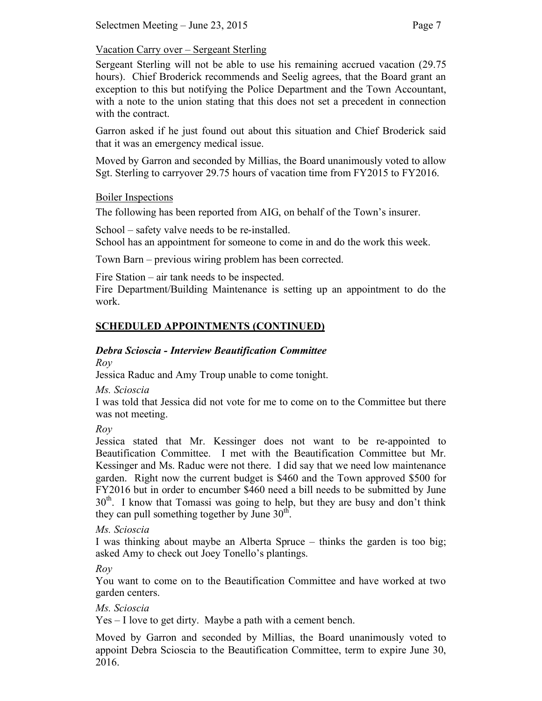## Vacation Carry over – Sergeant Sterling

Sergeant Sterling will not be able to use his remaining accrued vacation (29.75 hours). Chief Broderick recommends and Seelig agrees, that the Board grant an exception to this but notifying the Police Department and the Town Accountant, with a note to the union stating that this does not set a precedent in connection with the contract.

Garron asked if he just found out about this situation and Chief Broderick said that it was an emergency medical issue.

Moved by Garron and seconded by Millias, the Board unanimously voted to allow Sgt. Sterling to carryover 29.75 hours of vacation time from FY2015 to FY2016.

## Boiler Inspections

The following has been reported from AIG, on behalf of the Town's insurer.

School – safety valve needs to be re-installed.

School has an appointment for someone to come in and do the work this week.

Town Barn – previous wiring problem has been corrected.

Fire Station – air tank needs to be inspected.

Fire Department/Building Maintenance is setting up an appointment to do the work.

# **SCHEDULED APPOINTMENTS (CONTINUED)**

# *Debra Scioscia - Interview Beautification Committee*

*Roy* 

Jessica Raduc and Amy Troup unable to come tonight.

*Ms. Scioscia*

I was told that Jessica did not vote for me to come on to the Committee but there was not meeting.

*Roy*

Jessica stated that Mr. Kessinger does not want to be re-appointed to Beautification Committee. I met with the Beautification Committee but Mr. Kessinger and Ms. Raduc were not there. I did say that we need low maintenance garden. Right now the current budget is \$460 and the Town approved \$500 for FY2016 but in order to encumber \$460 need a bill needs to be submitted by June  $30<sup>th</sup>$ . I know that Tomassi was going to help, but they are busy and don't think they can pull something together by June  $30<sup>th</sup>$ .

*Ms. Scioscia*

I was thinking about maybe an Alberta Spruce – thinks the garden is too big; asked Amy to check out Joey Tonello's plantings.

*Roy*

You want to come on to the Beautification Committee and have worked at two garden centers.

*Ms. Scioscia*

Yes – I love to get dirty. Maybe a path with a cement bench.

Moved by Garron and seconded by Millias, the Board unanimously voted to appoint Debra Scioscia to the Beautification Committee, term to expire June 30, 2016.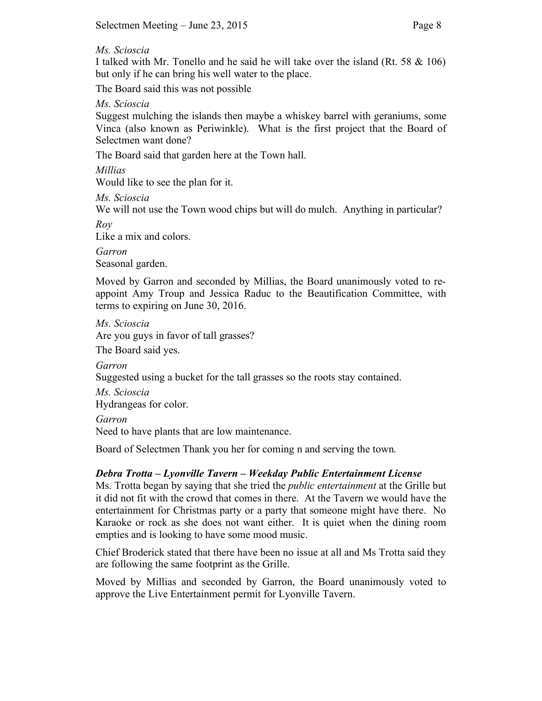#### *Ms. Scioscia*

I talked with Mr. Tonello and he said he will take over the island (Rt. 58 & 106) but only if he can bring his well water to the place.

The Board said this was not possible

*Ms. Scioscia*

Suggest mulching the islands then maybe a whiskey barrel with geraniums, some Vinca (also known as Periwinkle). What is the first project that the Board of Selectmen want done?

The Board said that garden here at the Town hall.

*Millias*

Would like to see the plan for it.

*Ms. Scioscia*

We will not use the Town wood chips but will do mulch. Anything in particular?

*Roy*

Like a mix and colors.

*Garron*

Seasonal garden.

Moved by Garron and seconded by Millias, the Board unanimously voted to reappoint Amy Troup and Jessica Raduc to the Beautification Committee, with terms to expiring on June 30, 2016.

*Ms. Scioscia* Are you guys in favor of tall grasses?

The Board said yes.

*Garron*

Suggested using a bucket for the tall grasses so the roots stay contained.

*Ms. Scioscia* Hydrangeas for color.

*Garron*

Need to have plants that are low maintenance.

Board of Selectmen Thank you her for coming n and serving the town.

# *Debra Trotta – Lyonville Tavern – Weekday Public Entertainment License*

Ms. Trotta began by saying that she tried the *public entertainment* at the Grille but it did not fit with the crowd that comes in there. At the Tavern we would have the entertainment for Christmas party or a party that someone might have there. No Karaoke or rock as she does not want either. It is quiet when the dining room empties and is looking to have some mood music.

Chief Broderick stated that there have been no issue at all and Ms Trotta said they are following the same footprint as the Grille.

Moved by Millias and seconded by Garron, the Board unanimously voted to approve the Live Entertainment permit for Lyonville Tavern.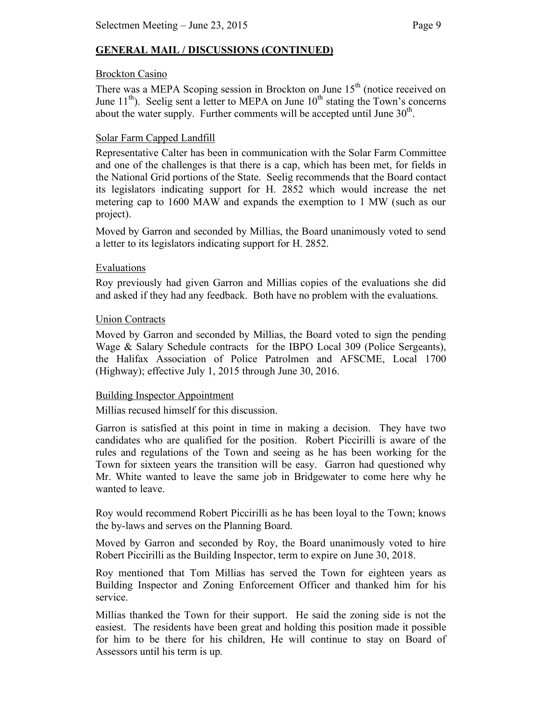# **GENERAL MAIL / DISCUSSIONS (CONTINUED)**

## Brockton Casino

There was a MEPA Scoping session in Brockton on June  $15<sup>th</sup>$  (notice received on June  $11^{th}$ ). Seelig sent a letter to MEPA on June  $10^{th}$  stating the Town's concerns about the water supply. Further comments will be accepted until June  $30<sup>th</sup>$ .

# Solar Farm Capped Landfill

Representative Calter has been in communication with the Solar Farm Committee and one of the challenges is that there is a cap, which has been met, for fields in the National Grid portions of the State. Seelig recommends that the Board contact its legislators indicating support for H. 2852 which would increase the net metering cap to 1600 MAW and expands the exemption to 1 MW (such as our project).

Moved by Garron and seconded by Millias, the Board unanimously voted to send a letter to its legislators indicating support for H. 2852.

## Evaluations

Roy previously had given Garron and Millias copies of the evaluations she did and asked if they had any feedback. Both have no problem with the evaluations.

## Union Contracts

Moved by Garron and seconded by Millias, the Board voted to sign the pending Wage & Salary Schedule contracts for the IBPO Local 309 (Police Sergeants), the Halifax Association of Police Patrolmen and AFSCME, Local 1700 (Highway); effective July 1, 2015 through June 30, 2016.

#### Building Inspector Appointment

Millias recused himself for this discussion.

Garron is satisfied at this point in time in making a decision. They have two candidates who are qualified for the position. Robert Piccirilli is aware of the rules and regulations of the Town and seeing as he has been working for the Town for sixteen years the transition will be easy. Garron had questioned why Mr. White wanted to leave the same job in Bridgewater to come here why he wanted to leave.

Roy would recommend Robert Piccirilli as he has been loyal to the Town; knows the by-laws and serves on the Planning Board.

Moved by Garron and seconded by Roy, the Board unanimously voted to hire Robert Piccirilli as the Building Inspector, term to expire on June 30, 2018.

Roy mentioned that Tom Millias has served the Town for eighteen years as Building Inspector and Zoning Enforcement Officer and thanked him for his service.

Millias thanked the Town for their support. He said the zoning side is not the easiest. The residents have been great and holding this position made it possible for him to be there for his children, He will continue to stay on Board of Assessors until his term is up.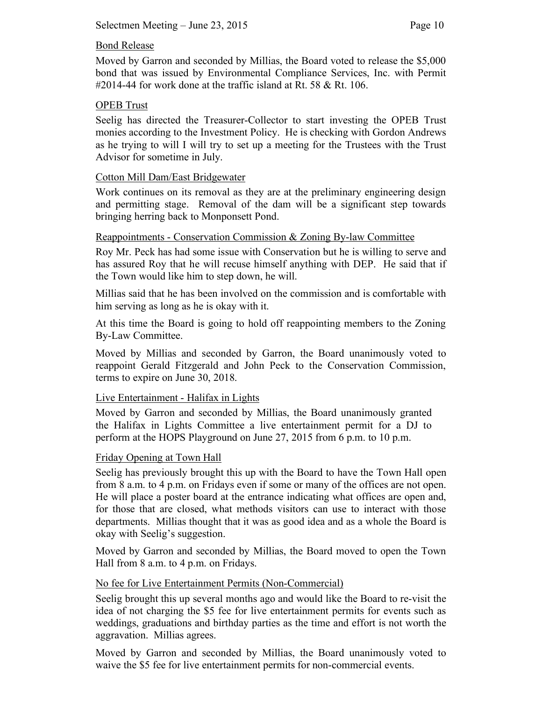## Bond Release

Moved by Garron and seconded by Millias, the Board voted to release the \$5,000 bond that was issued by Environmental Compliance Services, Inc. with Permit  $\#2014-44$  for work done at the traffic island at Rt. 58 & Rt. 106.

## OPEB Trust

Seelig has directed the Treasurer-Collector to start investing the OPEB Trust monies according to the Investment Policy. He is checking with Gordon Andrews as he trying to will I will try to set up a meeting for the Trustees with the Trust Advisor for sometime in July.

## Cotton Mill Dam/East Bridgewater

Work continues on its removal as they are at the preliminary engineering design and permitting stage. Removal of the dam will be a significant step towards bringing herring back to Monponsett Pond.

#### Reappointments - Conservation Commission & Zoning By-law Committee

Roy Mr. Peck has had some issue with Conservation but he is willing to serve and has assured Roy that he will recuse himself anything with DEP. He said that if the Town would like him to step down, he will.

Millias said that he has been involved on the commission and is comfortable with him serving as long as he is okay with it.

At this time the Board is going to hold off reappointing members to the Zoning By-Law Committee.

Moved by Millias and seconded by Garron, the Board unanimously voted to reappoint Gerald Fitzgerald and John Peck to the Conservation Commission, terms to expire on June 30, 2018.

## Live Entertainment - Halifax in Lights

Moved by Garron and seconded by Millias, the Board unanimously granted the Halifax in Lights Committee a live entertainment permit for a DJ to perform at the HOPS Playground on June 27, 2015 from 6 p.m. to 10 p.m.

#### Friday Opening at Town Hall

Seelig has previously brought this up with the Board to have the Town Hall open from 8 a.m. to 4 p.m. on Fridays even if some or many of the offices are not open. He will place a poster board at the entrance indicating what offices are open and, for those that are closed, what methods visitors can use to interact with those departments. Millias thought that it was as good idea and as a whole the Board is okay with Seelig's suggestion.

Moved by Garron and seconded by Millias, the Board moved to open the Town Hall from 8 a.m. to 4 p.m. on Fridays.

#### No fee for Live Entertainment Permits (Non-Commercial)

Seelig brought this up several months ago and would like the Board to re-visit the idea of not charging the \$5 fee for live entertainment permits for events such as weddings, graduations and birthday parties as the time and effort is not worth the aggravation. Millias agrees.

Moved by Garron and seconded by Millias, the Board unanimously voted to waive the \$5 fee for live entertainment permits for non-commercial events.